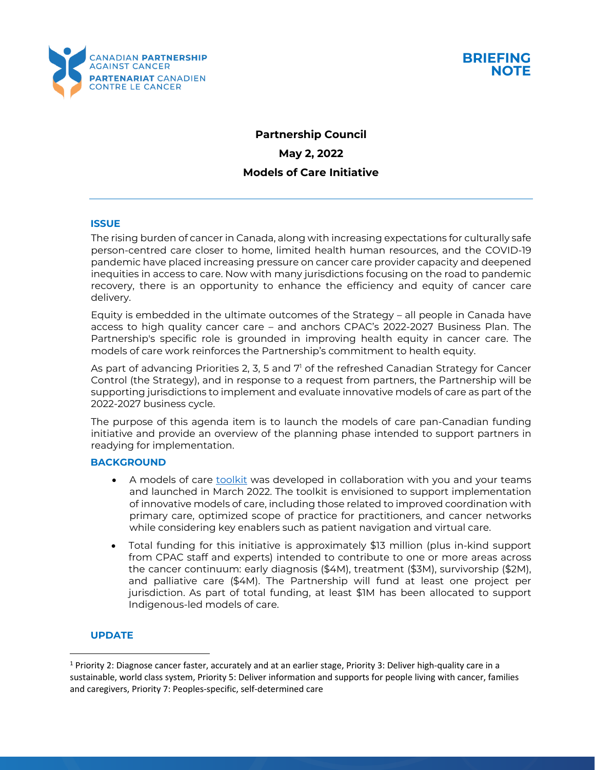



# **Partnership Council May 2, 2022 Models of Care Initiative**

### **ISSUE**

The rising burden of cancer in Canada, along with increasing expectations for culturally safe person-centred care closer to home, limited health human resources, and the COVID-19 pandemic have placed increasing pressure on cancer care provider capacity and deepened inequities in access to care. Now with many jurisdictions focusing on the road to pandemic recovery, there is an opportunity to enhance the efficiency and equity of cancer care delivery.

Equity is embedded in the ultimate outcomes of the Strategy – all people in Canada have access to high quality cancer care – and anchors CPAC's 2022-2027 Business Plan. The Partnership's specific role is grounded in improving health equity in cancer care. The models of care work reinforces the Partnership's commitment to health equity.

As part of advancing Priorities 2, 3, 5 and 7<sup>1</sup> of the refreshed Canadian Strategy for Cancer Control (the Strategy), and in response to a request from partners, the Partnership will be supporting jurisdictions to implement and evaluate innovative models of care as part of the 2022-2027 business cycle.

The purpose of this agenda item is to launch the models of care pan-Canadian funding initiative and provide an overview of the planning phase intended to support partners in readying for implementation.

#### **BACKGROUND**

- A models of care [toolkit](https://www.partnershipagainstcancer.ca/topics/models-of-care/models-of-care-summary/) was developed in collaboration with you and your teams and launched in March 2022. The toolkit is envisioned to support implementation of innovative models of care, including those related to improved coordination with primary care, optimized scope of practice for practitioners, and cancer networks while considering key enablers such as patient navigation and virtual care.
- Total funding for this initiative is approximately \$13 million (plus in-kind support from CPAC staff and experts) intended to contribute to one or more areas across the cancer continuum: early diagnosis (\$4M), treatment (\$3M), survivorship (\$2M), and palliative care (\$4M). The Partnership will fund at least one project per jurisdiction. As part of total funding, at least \$1M has been allocated to support Indigenous-led models of care.

## **UPDATE**

<sup>&</sup>lt;sup>1</sup> Priority 2: Diagnose cancer faster, accurately and at an earlier stage, Priority 3: Deliver high-quality care in a sustainable, world class system, Priority 5: Deliver information and supports for people living with cancer, families and caregivers, Priority 7: Peoples-specific, self-determined care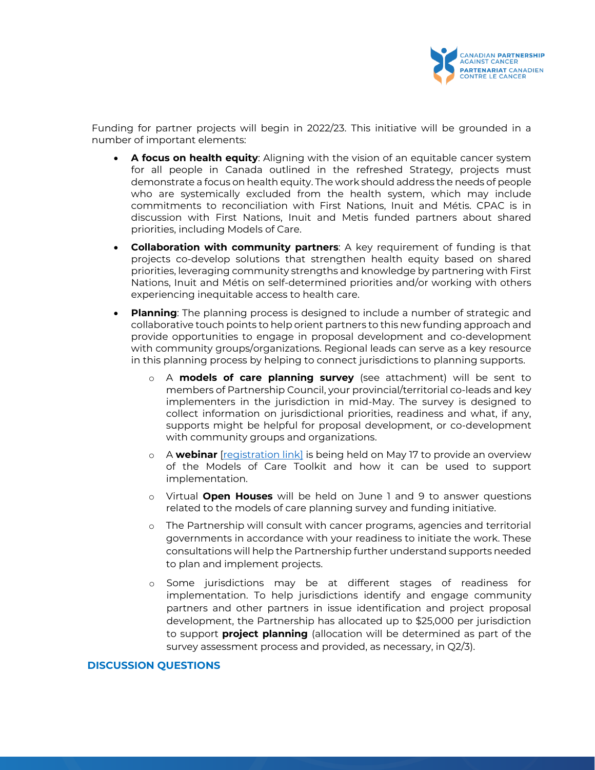

Funding for partner projects will begin in 2022/23. This initiative will be grounded in a number of important elements:

- **A focus on health equity**: Aligning with the vision of an equitable cancer system for all people in Canada outlined in the refreshed Strategy, projects must demonstrate a focus on health equity. The work should address the needs of people who are systemically excluded from the health system, which may include commitments to reconciliation with First Nations, Inuit and Métis. CPAC is in discussion with First Nations, Inuit and Metis funded partners about shared priorities, including Models of Care.
- **Collaboration with community partners**: A key requirement of funding is that projects co-develop solutions that strengthen health equity based on shared priorities, leveraging community strengths and knowledge by partnering with First Nations, Inuit and Métis on self-determined priorities and/or working with others experiencing inequitable access to health care.
- **Planning**: The planning process is designed to include a number of strategic and collaborative touch points to help orient partners to this new funding approach and provide opportunities to engage in proposal development and co-development with community groups/organizations. Regional leads can serve as a key resource in this planning process by helping to connect jurisdictions to planning supports.
	- o A **models of care planning survey** (see attachment) will be sent to members of Partnership Council, your provincial/territorial co-leads and key implementers in the jurisdiction in mid-May. The survey is designed to collect information on jurisdictional priorities, readiness and what, if any, supports might be helpful for proposal development, or co-development with community groups and organizations.
	- o A **webinar** [\[registration link\]](https://www.partnershipagainstcancer.ca/news-events/event/models-of-care-to-support-cancer-system-resiliency/) is being held on May 17 to provide an overview of the Models of Care Toolkit and how it can be used to support implementation.
	- o Virtual **Open Houses** will be held on June 1 and 9 to answer questions related to the models of care planning survey and funding initiative.
	- o The Partnership will consult with cancer programs, agencies and territorial governments in accordance with your readiness to initiate the work. These consultations will help the Partnership further understand supports needed to plan and implement projects.
	- o Some jurisdictions may be at different stages of readiness for implementation. To help jurisdictions identify and engage community partners and other partners in issue identification and project proposal development, the Partnership has allocated up to \$25,000 per jurisdiction to support **project planning** (allocation will be determined as part of the survey assessment process and provided, as necessary, in Q2/3).

#### **DISCUSSION QUESTIONS**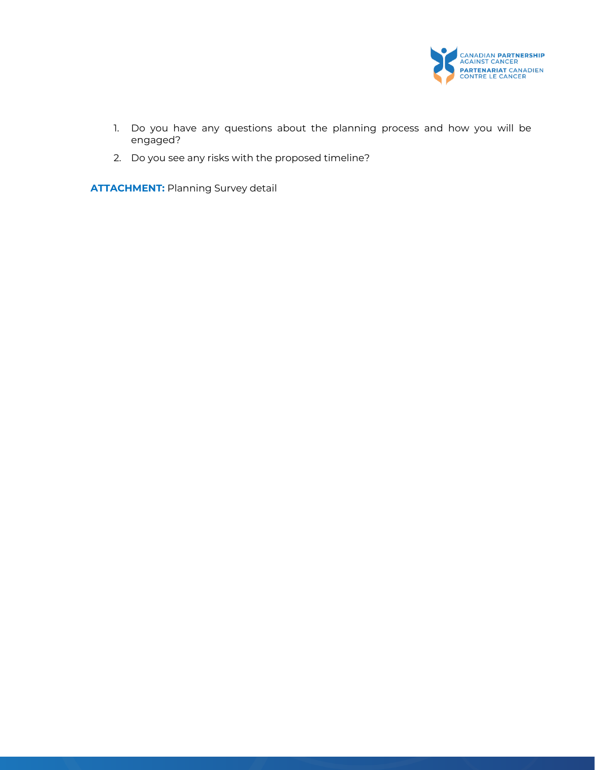

- 1. Do you have any questions about the planning process and how you will be engaged?
- 2. Do you see any risks with the proposed timeline?

**ATTACHMENT:** Planning Survey detail